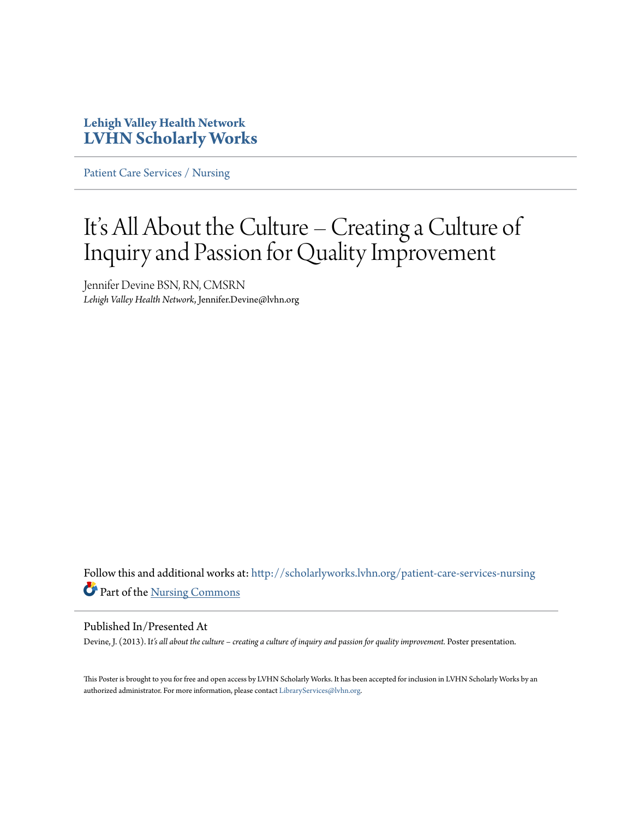### **Lehigh Valley Health Network [LVHN Scholarly Works](http://scholarlyworks.lvhn.org?utm_source=scholarlyworks.lvhn.org%2Fpatient-care-services-nursing%2F286&utm_medium=PDF&utm_campaign=PDFCoverPages)**

[Patient Care Services / Nursing](http://scholarlyworks.lvhn.org/patient-care-services-nursing?utm_source=scholarlyworks.lvhn.org%2Fpatient-care-services-nursing%2F286&utm_medium=PDF&utm_campaign=PDFCoverPages)

### It's All About the Culture – Creating a Culture of Inquiry and Passion for Quality Improvement

Jennifer Devine BSN, RN, CMSRN *Lehigh Valley Health Network*, Jennifer.Devine@lvhn.org

Follow this and additional works at: [http://scholarlyworks.lvhn.org/patient-care-services-nursing](http://scholarlyworks.lvhn.org/patient-care-services-nursing?utm_source=scholarlyworks.lvhn.org%2Fpatient-care-services-nursing%2F286&utm_medium=PDF&utm_campaign=PDFCoverPages) Part of the [Nursing Commons](http://network.bepress.com/hgg/discipline/718?utm_source=scholarlyworks.lvhn.org%2Fpatient-care-services-nursing%2F286&utm_medium=PDF&utm_campaign=PDFCoverPages)

### Published In/Presented At

Devine, J. (2013). I*t's all about the culture – creating a culture of inquiry and passion for quality improvement.* Poster presentation.

This Poster is brought to you for free and open access by LVHN Scholarly Works. It has been accepted for inclusion in LVHN Scholarly Works by an authorized administrator. For more information, please contact [LibraryServices@lvhn.org.](mailto:LibraryServices@lvhn.org)